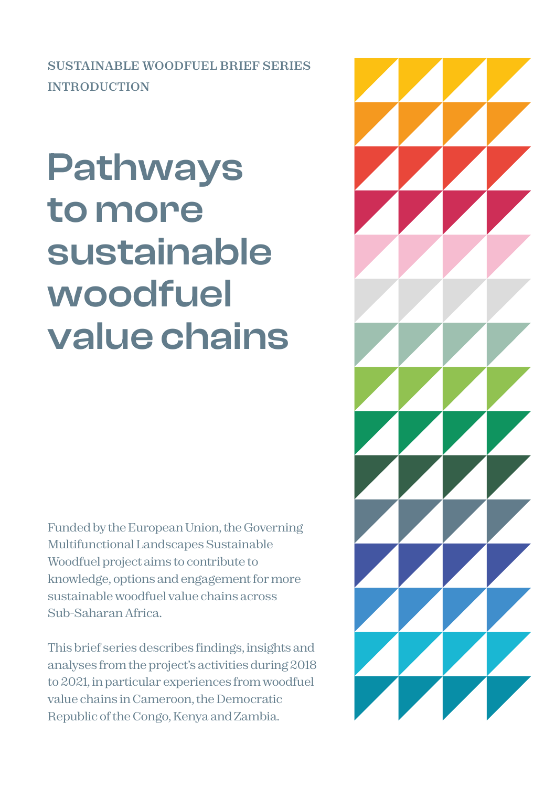**SUSTAINABLE WOODFUEL BRIEF SERIES INTRODUCTION**

# **Pathways to more sustainable woodfuel value chains**

**Funded by the European Union, the Governing Multifunctional Landscapes Sustainable Woodfuel project aims to contribute to knowledge, options and engagement for more sustainable woodfuel value chains across Sub-Saharan Africa.** 

**This brief series describes findings, insights and analyses from the project's activities during 2018 to 2021, in particular experiences from woodfuel value chains in Cameroon, the Democratic Republic of the Congo, Kenya and Zambia.**

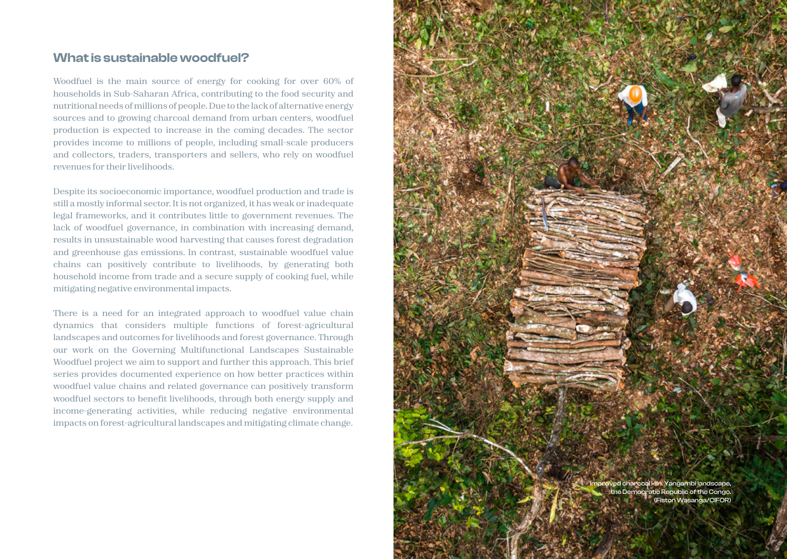## **What is sustainable woodfuel?**

**Woodfuel is the main source of energy for cooking for over 60% of households in Sub-Saharan Africa, contributing to the food security and nutritional needs of millions of people. Due to the lack of alternative energy sources and to growing charcoal demand from urban centers, woodfuel production is expected to increase in the coming decades. The sector provides income to millions of people, including small-scale producers and collectors, traders, transporters and sellers, who rely on woodfuel revenues for their livelihoods.** 

**Despite its socioeconomic importance, woodfuel production and trade is still a mostly informal sector. It is not organized, it has weak or inadequate legal frameworks, and it contributes little to government revenues. The lack of woodfuel governance, in combination with increasing demand, results in unsustainable wood harvesting that causes forest degradation and greenhouse gas emissions. In contrast, sustainable woodfuel value chains can positively contribute to livelihoods, by generating both household income from trade and a secure supply of cooking fuel, while mitigating negative environmental impacts.**

**There is a need for an integrated approach to woodfuel value chain dynamics that considers multiple functions of forest-agricultural landscapes and outcomes for livelihoods and forest governance. Through our work on the Governing Multifunctional Landscapes Sustainable Woodfuel project we aim to support and further this approach. This brief series provides documented experience on how better practices within woodfuel value chains and related governance can positively transform woodfuel sectors to benefit livelihoods, through both energy supply and income-generating activities, while reducing negative environmental impacts on forest-agricultural landscapes and mitigating climate change.**